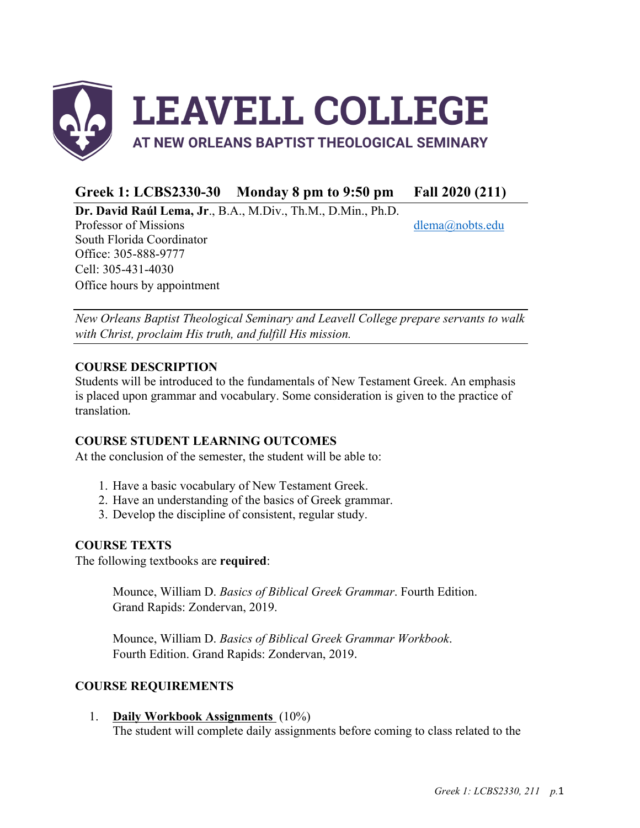

# **Greek 1: LCBS2330-30 Monday 8 pm to 9:50 pm Fall 2020 (211)**

**Dr. David Raúl Lema, Jr**., B.A., M.Div., Th.M., D.Min., Ph.D.

Professor of Missions dlema@nobts.edu South Florida Coordinator Office: 305-888-9777 Cell: 305-431-4030 Office hours by appointment

*New Orleans Baptist Theological Seminary and Leavell College prepare servants to walk with Christ, proclaim His truth, and fulfill His mission.*

## **COURSE DESCRIPTION**

Students will be introduced to the fundamentals of New Testament Greek. An emphasis is placed upon grammar and vocabulary. Some consideration is given to the practice of translation*.*

## **COURSE STUDENT LEARNING OUTCOMES**

At the conclusion of the semester, the student will be able to:

- 1. Have a basic vocabulary of New Testament Greek.
- 2. Have an understanding of the basics of Greek grammar.
- 3. Develop the discipline of consistent, regular study.

# **COURSE TEXTS**

The following textbooks are **required**:

Mounce, William D. *Basics of Biblical Greek Grammar*. Fourth Edition. Grand Rapids: Zondervan, 2019.

Mounce, William D. *Basics of Biblical Greek Grammar Workbook*. Fourth Edition. Grand Rapids: Zondervan, 2019.

# **COURSE REQUIREMENTS**

1. **Daily Workbook Assignments** (10%) The student will complete daily assignments before coming to class related to the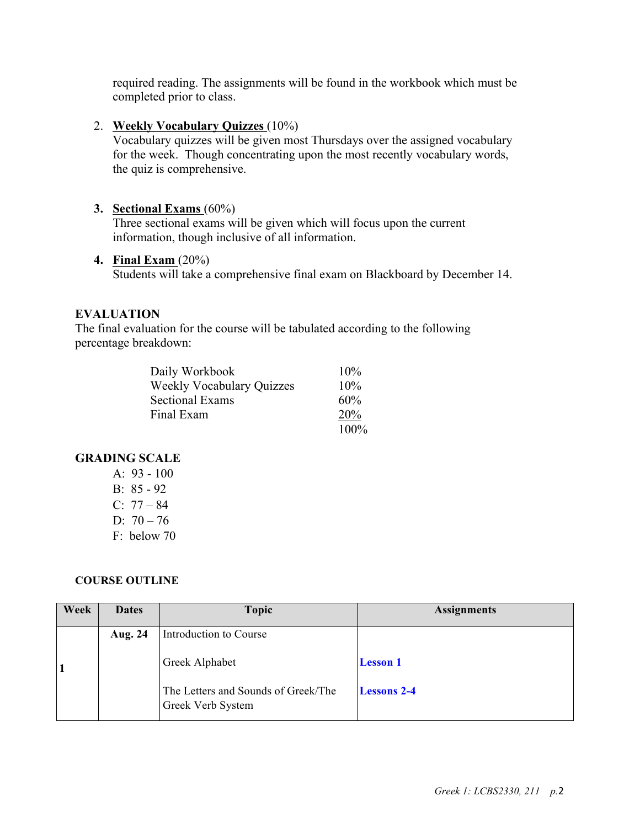required reading. The assignments will be found in the workbook which must be completed prior to class.

## 2. **Weekly Vocabulary Quizzes** (10%)

Vocabulary quizzes will be given most Thursdays over the assigned vocabulary for the week. Though concentrating upon the most recently vocabulary words, the quiz is comprehensive.

## **3. Sectional Exams** (60%)

Three sectional exams will be given which will focus upon the current information, though inclusive of all information.

### **4. Final Exam** (20%)

Students will take a comprehensive final exam on Blackboard by December 14.

## **EVALUATION**

The final evaluation for the course will be tabulated according to the following percentage breakdown:

| Daily Workbook                   | 10%        |
|----------------------------------|------------|
| <b>Weekly Vocabulary Quizzes</b> | 10%        |
| <b>Sectional Exams</b>           | 60%        |
| Final Exam                       | <b>20%</b> |
|                                  | 100%       |

## **GRADING SCALE**

A:  $93 - 100$ B: 85 - 92 C:  $77 - 84$ D:  $70 - 76$ F: below 70

#### **COURSE OUTLINE**

| Week | <b>Dates</b> | <b>Topic</b>                                             | <b>Assignments</b> |
|------|--------------|----------------------------------------------------------|--------------------|
|      | Aug. 24      | Introduction to Course                                   |                    |
|      |              | Greek Alphabet                                           | <b>Lesson</b> 1    |
|      |              | The Letters and Sounds of Greek/The<br>Greek Verb System | <b>Lessons 2-4</b> |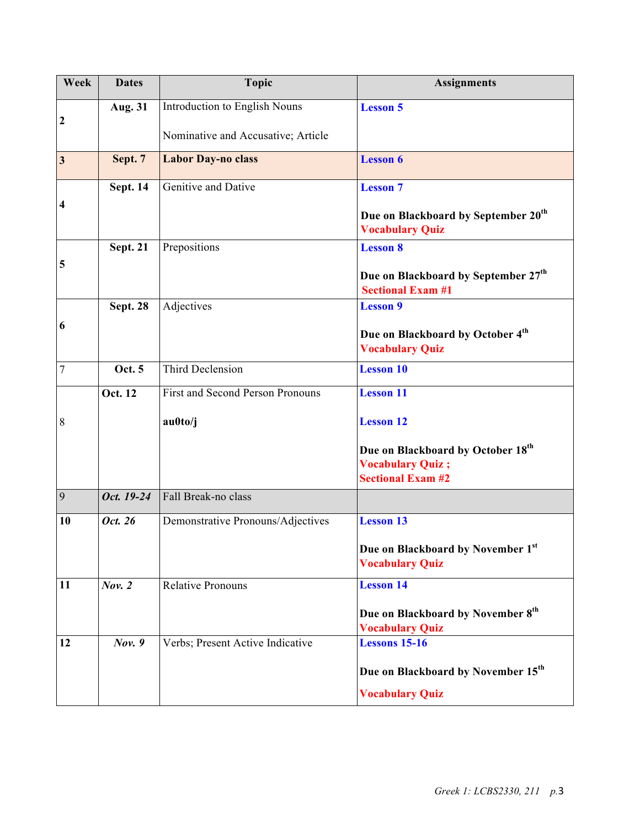| Week             | <b>Dates</b>    | <b>Topic</b>                            | <b>Assignments</b>                                                          |
|------------------|-----------------|-----------------------------------------|-----------------------------------------------------------------------------|
| $\boldsymbol{2}$ | Aug. 31         | Introduction to English Nouns           | <b>Lesson 5</b>                                                             |
|                  |                 | Nominative and Accusative; Article      |                                                                             |
| $\mathbf{3}$     | Sept. 7         | <b>Labor Day-no class</b>               | <b>Lesson 6</b>                                                             |
|                  | <b>Sept. 14</b> | Genitive and Dative                     | <b>Lesson 7</b>                                                             |
| 4                |                 |                                         | Due on Blackboard by September 20 <sup>th</sup><br><b>Vocabulary Quiz</b>   |
|                  | <b>Sept. 21</b> | Prepositions                            | <b>Lesson 8</b>                                                             |
| 5                |                 |                                         | Due on Blackboard by September 27 <sup>th</sup><br><b>Sectional Exam #1</b> |
|                  | <b>Sept. 28</b> | Adjectives                              | <b>Lesson 9</b>                                                             |
| 6                |                 |                                         | Due on Blackboard by October 4th                                            |
|                  |                 |                                         | <b>Vocabulary Quiz</b>                                                      |
| $\overline{7}$   | Oct. 5          | Third Declension                        | <b>Lesson 10</b>                                                            |
|                  | Oct. 12         | <b>First and Second Person Pronouns</b> | <b>Lesson 11</b>                                                            |
| 8                |                 | au0to/j                                 | <b>Lesson 12</b>                                                            |
|                  |                 |                                         | Due on Blackboard by October 18th                                           |
|                  |                 |                                         | <b>Vocabulary Quiz;</b><br><b>Sectional Exam #2</b>                         |
| 9                | Oct. 19-24      | Fall Break-no class                     |                                                                             |
| 10               | Oct. 26         | Demonstrative Pronouns/Adjectives       | <b>Lesson 13</b>                                                            |
|                  |                 |                                         | Due on Blackboard by November 1st<br><b>Vocabulary Quiz</b>                 |
| 11               | Nov. 2          | <b>Relative Pronouns</b>                | <b>Lesson 14</b>                                                            |
|                  |                 |                                         | Due on Blackboard by November 8th<br><b>Vocabulary Quiz</b>                 |
| 12               | Nov. 9          | Verbs; Present Active Indicative        | <b>Lessons 15-16</b>                                                        |
|                  |                 |                                         | Due on Blackboard by November 15 <sup>th</sup>                              |
|                  |                 |                                         | <b>Vocabulary Quiz</b>                                                      |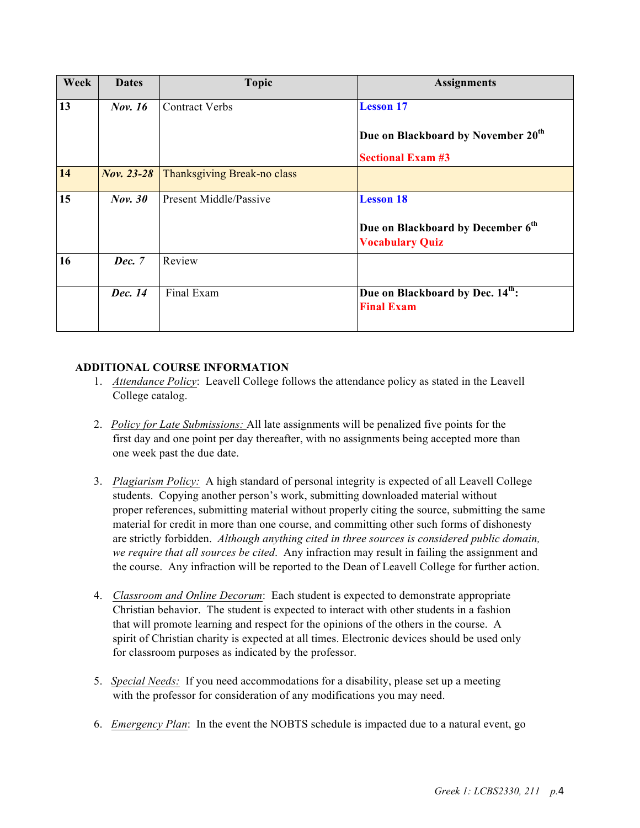| Week | <b>Dates</b>   | <b>Topic</b>                | <b>Assignments</b>                                                      |
|------|----------------|-----------------------------|-------------------------------------------------------------------------|
| 13   | <b>Nov. 16</b> | <b>Contract Verbs</b>       | <b>Lesson 17</b>                                                        |
|      |                |                             | Due on Blackboard by November 20 <sup>th</sup>                          |
|      |                |                             | <b>Sectional Exam #3</b>                                                |
| 14   | Nov. 23-28     | Thanksgiving Break-no class |                                                                         |
| 15   | <b>Nov. 30</b> | Present Middle/Passive      | <b>Lesson 18</b>                                                        |
|      |                |                             | Due on Blackboard by December 6 <sup>th</sup><br><b>Vocabulary Quiz</b> |
| 16   | Dec. 7         | Review                      |                                                                         |
|      | Dec. 14        | Final Exam                  | Due on Blackboard by Dec. 14 <sup>th</sup> :<br><b>Final Exam</b>       |

### **ADDITIONAL COURSE INFORMATION**

- 1. *Attendance Policy*: Leavell College follows the attendance policy as stated in the Leavell College catalog.
- 2. *Policy for Late Submissions:* All late assignments will be penalized five points for the first day and one point per day thereafter, with no assignments being accepted more than one week past the due date.
- 3. *Plagiarism Policy:* A high standard of personal integrity is expected of all Leavell College students. Copying another person's work, submitting downloaded material without proper references, submitting material without properly citing the source, submitting the same material for credit in more than one course, and committing other such forms of dishonesty are strictly forbidden. *Although anything cited in three sources is considered public domain, we require that all sources be cited*. Any infraction may result in failing the assignment and the course. Any infraction will be reported to the Dean of Leavell College for further action.
- 4. *Classroom and Online Decorum*: Each student is expected to demonstrate appropriate Christian behavior. The student is expected to interact with other students in a fashion that will promote learning and respect for the opinions of the others in the course. A spirit of Christian charity is expected at all times. Electronic devices should be used only for classroom purposes as indicated by the professor.
- 5. *Special Needs:* If you need accommodations for a disability, please set up a meeting with the professor for consideration of any modifications you may need.
- 6. *Emergency Plan*: In the event the NOBTS schedule is impacted due to a natural event, go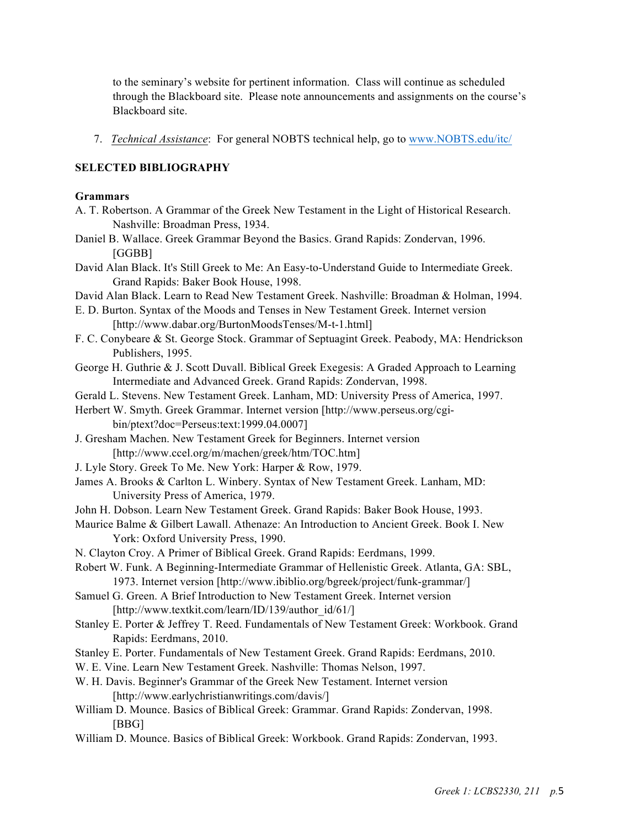to the seminary's website for pertinent information. Class will continue as scheduled through the Blackboard site. Please note announcements and assignments on the course's Blackboard site.

7. *Technical Assistance*: For general NOBTS technical help, go to www.NOBTS.edu/itc/

## **SELECTED BIBLIOGRAPHY**

#### **Grammars**

- A. T. Robertson. A Grammar of the Greek New Testament in the Light of Historical Research. Nashville: Broadman Press, 1934.
- Daniel B. Wallace. Greek Grammar Beyond the Basics. Grand Rapids: Zondervan, 1996. [GGBB]
- David Alan Black. It's Still Greek to Me: An Easy-to-Understand Guide to Intermediate Greek. Grand Rapids: Baker Book House, 1998.
- David Alan Black. Learn to Read New Testament Greek. Nashville: Broadman & Holman, 1994.
- E. D. Burton. Syntax of the Moods and Tenses in New Testament Greek. Internet version [http://www.dabar.org/BurtonMoodsTenses/M-t-1.html]
- F. C. Conybeare & St. George Stock. Grammar of Septuagint Greek. Peabody, MA: Hendrickson Publishers, 1995.
- George H. Guthrie & J. Scott Duvall. Biblical Greek Exegesis: A Graded Approach to Learning Intermediate and Advanced Greek. Grand Rapids: Zondervan, 1998.
- Gerald L. Stevens. New Testament Greek. Lanham, MD: University Press of America, 1997.
- Herbert W. Smyth. Greek Grammar. Internet version [http://www.perseus.org/cgibin/ptext?doc=Perseus:text:1999.04.0007]
- J. Gresham Machen. New Testament Greek for Beginners. Internet version [http://www.ccel.org/m/machen/greek/htm/TOC.htm]
- J. Lyle Story. Greek To Me. New York: Harper & Row, 1979.
- James A. Brooks & Carlton L. Winbery. Syntax of New Testament Greek. Lanham, MD: University Press of America, 1979.
- John H. Dobson. Learn New Testament Greek. Grand Rapids: Baker Book House, 1993.
- Maurice Balme & Gilbert Lawall. Athenaze: An Introduction to Ancient Greek. Book I. New York: Oxford University Press, 1990.
- N. Clayton Croy. A Primer of Biblical Greek. Grand Rapids: Eerdmans, 1999.
- Robert W. Funk. A Beginning-Intermediate Grammar of Hellenistic Greek. Atlanta, GA: SBL, 1973. Internet version [http://www.ibiblio.org/bgreek/project/funk-grammar/]
- Samuel G. Green. A Brief Introduction to New Testament Greek. Internet version [http://www.textkit.com/learn/ID/139/author\_id/61/]
- Stanley E. Porter & Jeffrey T. Reed. Fundamentals of New Testament Greek: Workbook. Grand Rapids: Eerdmans, 2010.
- Stanley E. Porter. Fundamentals of New Testament Greek. Grand Rapids: Eerdmans, 2010.
- W. E. Vine. Learn New Testament Greek. Nashville: Thomas Nelson, 1997.
- W. H. Davis. Beginner's Grammar of the Greek New Testament. Internet version [http://www.earlychristianwritings.com/davis/]
- William D. Mounce. Basics of Biblical Greek: Grammar. Grand Rapids: Zondervan, 1998. [BBG]
- William D. Mounce. Basics of Biblical Greek: Workbook. Grand Rapids: Zondervan, 1993.